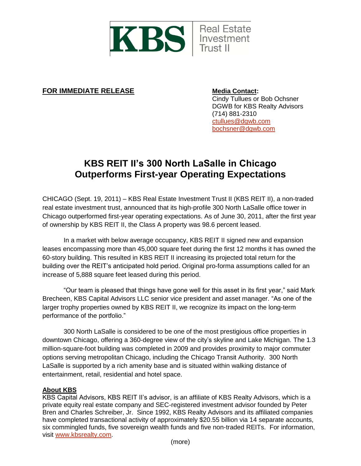

**FOR IMMEDIATE RELEASE Media Contact:** 

Cindy Tullues or Bob Ochsner DGWB for KBS Realty Advisors (714) 881-2310 [ctullues@dgwb.com](mailto:ctullues@dgwb.com) [bochsner@dgwb.com](mailto:bochsner@dgwb.com)

## **KBS REIT II's 300 North LaSalle in Chicago Outperforms First-year Operating Expectations**

CHICAGO (Sept. 19, 2011) – KBS Real Estate Investment Trust II (KBS REIT II), a non-traded real estate investment trust, announced that its high-profile 300 North LaSalle office tower in Chicago outperformed first-year operating expectations. As of June 30, 2011, after the first year of ownership by KBS REIT II, the Class A property was 98.6 percent leased.

In a market with below average occupancy, KBS REIT II signed new and expansion leases encompassing more than 45,000 square feet during the first 12 months it has owned the 60-story building. This resulted in KBS REIT II increasing its projected total return for the building over the REIT's anticipated hold period. Original pro-forma assumptions called for an increase of 5,888 square feet leased during this period.

"Our team is pleased that things have gone well for this asset in its first year," said Mark Brecheen, KBS Capital Advisors LLC senior vice president and asset manager. "As one of the larger trophy properties owned by KBS REIT II, we recognize its impact on the long-term performance of the portfolio."

300 North LaSalle is considered to be one of the most prestigious office properties in downtown Chicago, offering a 360-degree view of the city's skyline and Lake Michigan. The 1.3 million-square-foot building was completed in 2009 and provides proximity to major commuter options serving metropolitan Chicago, including the Chicago Transit Authority. 300 North LaSalle is supported by a rich amenity base and is situated within walking distance of entertainment, retail, residential and hotel space.

## **About KBS**

KBS Capital Advisors, KBS REIT II's advisor, is an affiliate of KBS Realty Advisors, which is a private equity real estate company and SEC-registered investment advisor founded by Peter Bren and Charles Schreiber, Jr. Since 1992, KBS Realty Advisors and its affiliated companies have completed transactional activity of approximately \$20.55 billion via 14 separate accounts, six commingled funds, five sovereign wealth funds and five non-traded REITs. For information, visit [www.kbsrealty.com.](http://www.kbsrealty.com/)